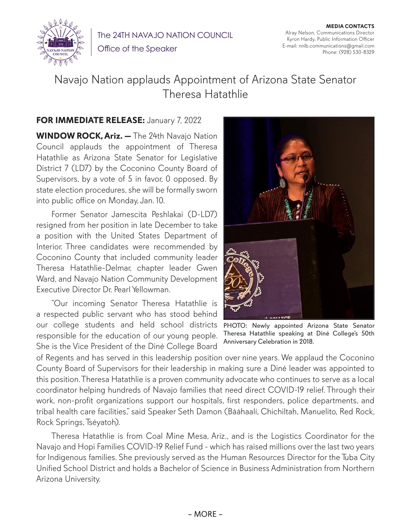

The 24TH NAVAJO NATION COUNCIL

Office of the Speaker

**MEDIA CONTACTS** Alray Nelson, Communications Director Kyron Hardy, Public Information Officer E-mail: nnlb.communications@gmail.com Phone: (928) 530-8329

## Navajo Nation applauds Appointment of Arizona State Senator Theresa Hatathlie

## **FOR IMMEDIATE RELEASE:** January 7, 2022

**WINDOW ROCK, Ariz. —** The 24th Navajo Nation Council applauds the appointment of Theresa Hatathlie as Arizona State Senator for Legislative District 7 (LD7) by the Coconino County Board of Supervisors, by a vote of 5 in favor, 0 opposed. By state election procedures, she will be formally sworn into public office on Monday, Jan. 10.

Former Senator Jamescita Peshlakai (D-LD7) resigned from her position in late December to take a position with the United States Department of Interior. Three candidates were recommended by Coconino County that included community leader Theresa Hatathlie-Delmar, chapter leader Gwen Ward, and Navajo Nation Community Development Executive Director Dr. Pearl Yellowman.

"Our incoming Senator Theresa Hatathlie is a respected public servant who has stood behind our college students and held school districts responsible for the education of our young people. She is the Vice President of the Diné College Board



PHOTO: Newly appointed Arizona State Senator Theresa Hatathlie speaking at Diné College's 50th Anniversary Celebration in 2018.

of Regents and has served in this leadership position over nine years. We applaud the Coconino County Board of Supervisors for their leadership in making sure a Diné leader was appointed to this position. Theresa Hatathlie is a proven community advocate who continues to serve as a local coordinator helping hundreds of Navajo families that need direct COVID-19 relief. Through their work, non-profit organizations support our hospitals, first responders, police departments, and tribal health care facilities," said Speaker Seth Damon (Bááhaalí, Chichiltah, Manuelito, Red Rock, Rock Springs, Tséyatoh).

Theresa Hatathlie is from Coal Mine Mesa, Ariz., and is the Logistics Coordinator for the Navajo and Hopi Families COVID-19 Relief Fund - which has raised millions over the last two years for Indigenous families. She previously served as the Human Resources Director for the Tuba City Unified School District and holds a Bachelor of Science in Business Administration from Northern Arizona University.